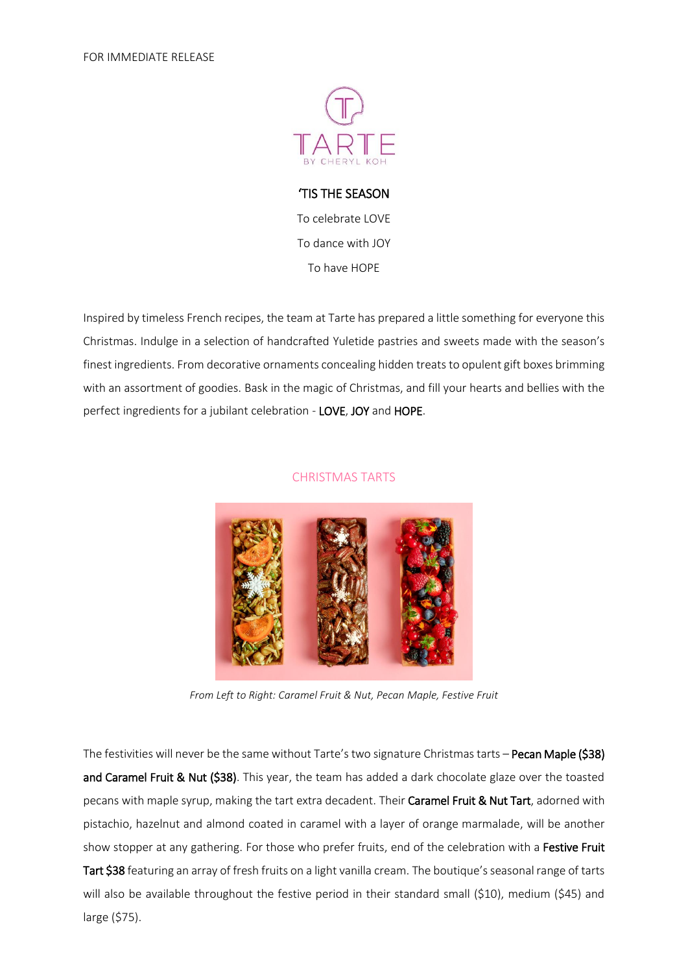

'TIS THE SEASON To celebrate LOVE To dance with JOY To have HOPE

Inspired by timeless French recipes, the team at Tarte has prepared a little something for everyone this Christmas. Indulge in a selection of handcrafted Yuletide pastries and sweets made with the season's finest ingredients. From decorative ornaments concealing hidden treats to opulent gift boxes brimming with an assortment of goodies. Bask in the magic of Christmas, and fill your hearts and bellies with the perfect ingredients for a jubilant celebration - LOVE, JOY and HOPE.

## CHRISTMAS TARTS



*From Left to Right: Caramel Fruit & Nut, Pecan Maple, Festive Fruit*

The festivities will never be the same without Tarte's two signature Christmas tarts – Pecan Maple (\$38) and Caramel Fruit & Nut (\$38). This year, the team has added a dark chocolate glaze over the toasted pecans with maple syrup, making the tart extra decadent. Their Caramel Fruit & Nut Tart, adorned with pistachio, hazelnut and almond coated in caramel with a layer of orange marmalade, will be another show stopper at any gathering. For those who prefer fruits, end of the celebration with a Festive Fruit Tart \$38 featuring an array of fresh fruits on a light vanilla cream. The boutique's seasonal range of tarts will also be available throughout the festive period in their standard small (\$10), medium (\$45) and large (\$75).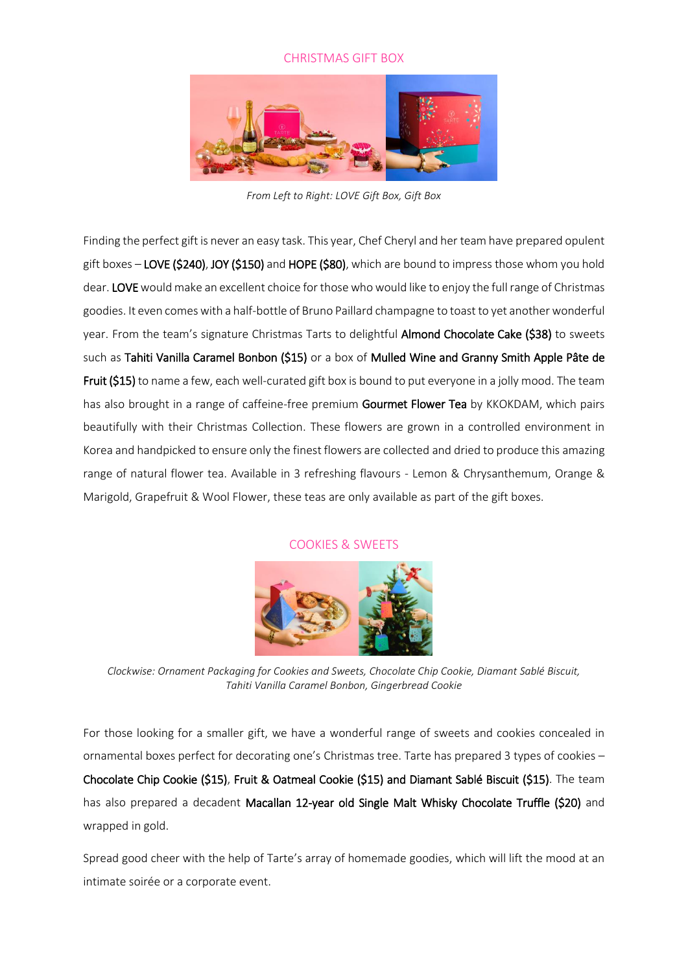## CHRISTMAS GIFT BOX



*From Left to Right: LOVE Gift Box, Gift Box*

Finding the perfect gift is never an easy task. This year, Chef Cheryl and her team have prepared opulent gift boxes - LOVE (\$240), JOY (\$150) and HOPE (\$80), which are bound to impress those whom you hold dear. LOVE would make an excellent choice for those who would like to enjoy the full range of Christmas goodies. It even comes with a half-bottle of Bruno Paillard champagne to toast to yet another wonderful year. From the team's signature Christmas Tarts to delightful Almond Chocolate Cake (\$38) to sweets such as Tahiti Vanilla Caramel Bonbon (\$15) or a box of Mulled Wine and Granny Smith Apple Pâte de Fruit (\$15) to name a few, each well-curated gift box is bound to put everyone in a jolly mood. The team has also brought in a range of caffeine-free premium Gourmet Flower Tea by KKOKDAM, which pairs beautifully with their Christmas Collection. These flowers are grown in a controlled environment in Korea and handpicked to ensure only the finest flowers are collected and dried to produce this amazing range of natural flower tea. Available in 3 refreshing flavours - Lemon & Chrysanthemum, Orange & Marigold, Grapefruit & Wool Flower, these teas are only available as part of the gift boxes.

## COOKIES & SWEETS



*Clockwise: Ornament Packaging for Cookies and Sweets, Chocolate Chip Cookie, Diamant Sablé Biscuit, Tahiti Vanilla Caramel Bonbon, Gingerbread Cookie*

For those looking for a smaller gift, we have a wonderful range of sweets and cookies concealed in ornamental boxes perfect for decorating one's Christmas tree. Tarte has prepared 3 types of cookies – Chocolate Chip Cookie (\$15), Fruit & Oatmeal Cookie (\$15) and Diamant Sablé Biscuit (\$15). The team has also prepared a decadent Macallan 12-year old Single Malt Whisky Chocolate Truffle (\$20) and wrapped in gold.

Spread good cheer with the help of Tarte's array of homemade goodies, which will lift the mood at an intimate soirée or a corporate event.